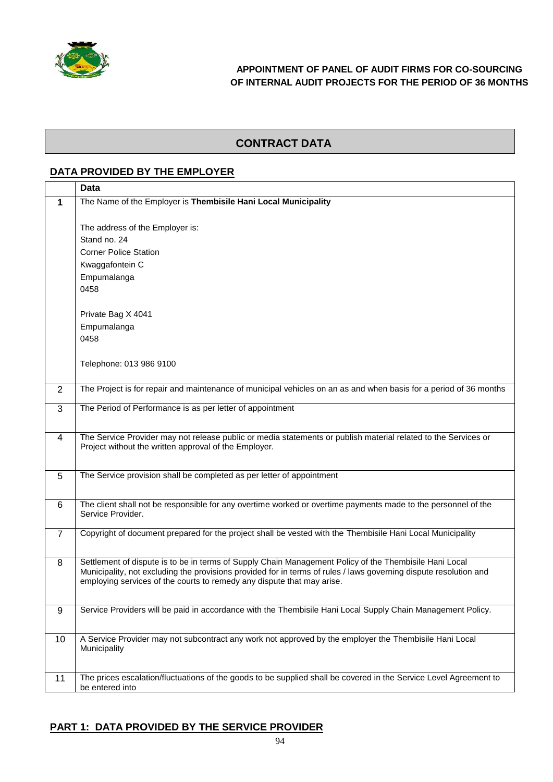

# **CONTRACT DATA**

#### **DATA PROVIDED BY THE EMPLOYER**

|                | <b>Data</b>                                                                                                       |
|----------------|-------------------------------------------------------------------------------------------------------------------|
| $\mathbf 1$    | The Name of the Employer is Thembisile Hani Local Municipality                                                    |
|                |                                                                                                                   |
|                | The address of the Employer is:                                                                                   |
|                | Stand no. 24                                                                                                      |
|                | <b>Corner Police Station</b>                                                                                      |
|                | Kwaggafontein C                                                                                                   |
|                | Empumalanga                                                                                                       |
|                | 0458                                                                                                              |
|                |                                                                                                                   |
|                | Private Bag X 4041                                                                                                |
|                | Empumalanga                                                                                                       |
|                | 0458                                                                                                              |
|                | Telephone: 013 986 9100                                                                                           |
|                |                                                                                                                   |
| 2              | The Project is for repair and maintenance of municipal vehicles on an as and when basis for a period of 36 months |
|                |                                                                                                                   |
| 3              | The Period of Performance is as per letter of appointment                                                         |
|                |                                                                                                                   |
| $\overline{4}$ | The Service Provider may not release public or media statements or publish material related to the Services or    |
|                | Project without the written approval of the Employer.                                                             |
|                |                                                                                                                   |
| 5              | The Service provision shall be completed as per letter of appointment                                             |
|                |                                                                                                                   |
| 6              | The client shall not be responsible for any overtime worked or overtime payments made to the personnel of the     |
|                | Service Provider.                                                                                                 |
| $\overline{7}$ | Copyright of document prepared for the project shall be vested with the Thembisile Hani Local Municipality        |
|                |                                                                                                                   |
| 8              | Settlement of dispute is to be in terms of Supply Chain Management Policy of the Thembisile Hani Local            |
|                | Municipality, not excluding the provisions provided for in terms of rules / laws governing dispute resolution and |
|                | employing services of the courts to remedy any dispute that may arise.                                            |
|                |                                                                                                                   |
| 9              | Service Providers will be paid in accordance with the Thembisile Hani Local Supply Chain Management Policy.       |
|                |                                                                                                                   |
| 10             | A Service Provider may not subcontract any work not approved by the employer the Thembisile Hani Local            |
|                | Municipality                                                                                                      |
|                |                                                                                                                   |
| 11             | The prices escalation/fluctuations of the goods to be supplied shall be covered in the Service Level Agreement to |
|                | be entered into                                                                                                   |

# **PART 1: DATA PROVIDED BY THE SERVICE PROVIDER**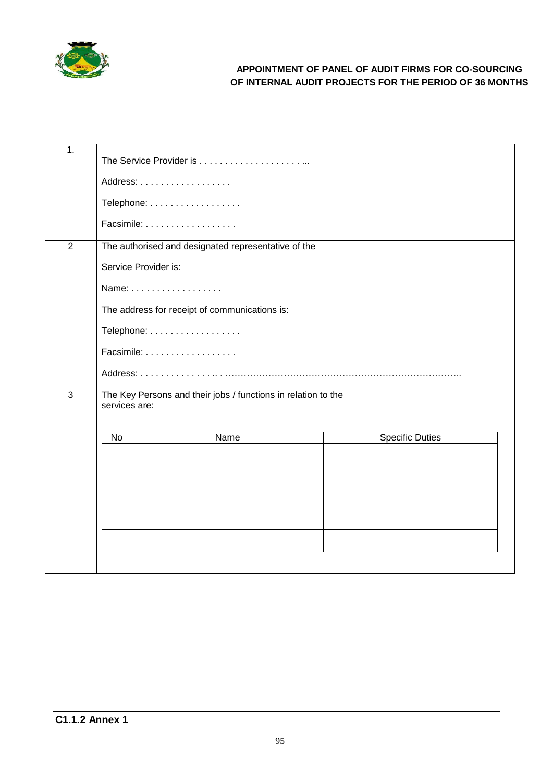

| $\overline{1}$ . |                                                                                |                        |  |  |  |  |
|------------------|--------------------------------------------------------------------------------|------------------------|--|--|--|--|
|                  | Address:                                                                       |                        |  |  |  |  |
|                  | Telephone:                                                                     |                        |  |  |  |  |
|                  | Facsimile:                                                                     |                        |  |  |  |  |
| $\overline{2}$   | The authorised and designated representative of the                            |                        |  |  |  |  |
|                  | Service Provider is:                                                           |                        |  |  |  |  |
|                  | Name:                                                                          |                        |  |  |  |  |
|                  | The address for receipt of communications is:                                  |                        |  |  |  |  |
|                  | Telephone:                                                                     |                        |  |  |  |  |
|                  |                                                                                |                        |  |  |  |  |
|                  |                                                                                |                        |  |  |  |  |
| 3                | The Key Persons and their jobs / functions in relation to the<br>services are: |                        |  |  |  |  |
|                  |                                                                                |                        |  |  |  |  |
|                  | Name<br>No                                                                     | <b>Specific Duties</b> |  |  |  |  |
|                  |                                                                                |                        |  |  |  |  |
|                  |                                                                                |                        |  |  |  |  |
|                  |                                                                                |                        |  |  |  |  |
|                  |                                                                                |                        |  |  |  |  |
|                  |                                                                                |                        |  |  |  |  |
|                  |                                                                                |                        |  |  |  |  |
|                  |                                                                                |                        |  |  |  |  |
|                  |                                                                                |                        |  |  |  |  |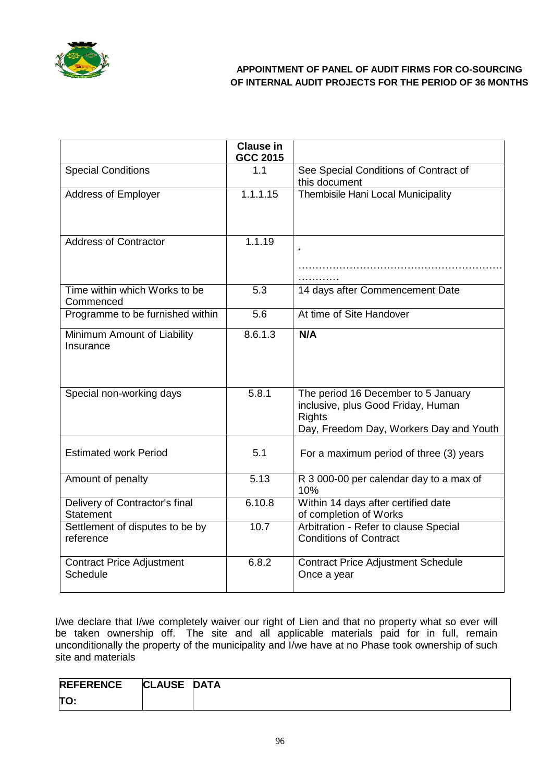

|                                                    | <b>Clause in</b><br><b>GCC 2015</b> |                                                                                                                                       |
|----------------------------------------------------|-------------------------------------|---------------------------------------------------------------------------------------------------------------------------------------|
| <b>Special Conditions</b>                          | 1.1                                 | See Special Conditions of Contract of<br>this document                                                                                |
| <b>Address of Employer</b>                         | 1.1.1.15                            | Thembisile Hani Local Municipality                                                                                                    |
| <b>Address of Contractor</b>                       | 1.1.19                              |                                                                                                                                       |
| Time within which Works to be<br>Commenced         | 5.3                                 | 14 days after Commencement Date                                                                                                       |
| Programme to be furnished within                   | 5.6                                 | At time of Site Handover                                                                                                              |
| Minimum Amount of Liability<br>Insurance           | 8.6.1.3                             | N/A                                                                                                                                   |
| Special non-working days                           | 5.8.1                               | The period 16 December to 5 January<br>inclusive, plus Good Friday, Human<br><b>Rights</b><br>Day, Freedom Day, Workers Day and Youth |
| <b>Estimated work Period</b>                       | 5.1                                 | For a maximum period of three (3) years                                                                                               |
| Amount of penalty                                  | 5.13                                | R 3 000-00 per calendar day to a max of<br>10%                                                                                        |
| Delivery of Contractor's final<br><b>Statement</b> | 6.10.8                              | Within 14 days after certified date<br>of completion of Works                                                                         |
| Settlement of disputes to be by<br>reference       | 10.7                                | Arbitration - Refer to clause Special<br><b>Conditions of Contract</b>                                                                |
| <b>Contract Price Adjustment</b><br>Schedule       | 6.8.2                               | <b>Contract Price Adjustment Schedule</b><br>Once a year                                                                              |

I/we declare that I/we completely waiver our right of Lien and that no property what so ever will be taken ownership off. The site and all applicable materials paid for in full, remain unconditionally the property of the municipality and I/we have at no Phase took ownership of such site and materials

| <b>REFERENCE</b> | <b>CLAUSE</b> | <b>DATA</b> |
|------------------|---------------|-------------|
| TO.              |               |             |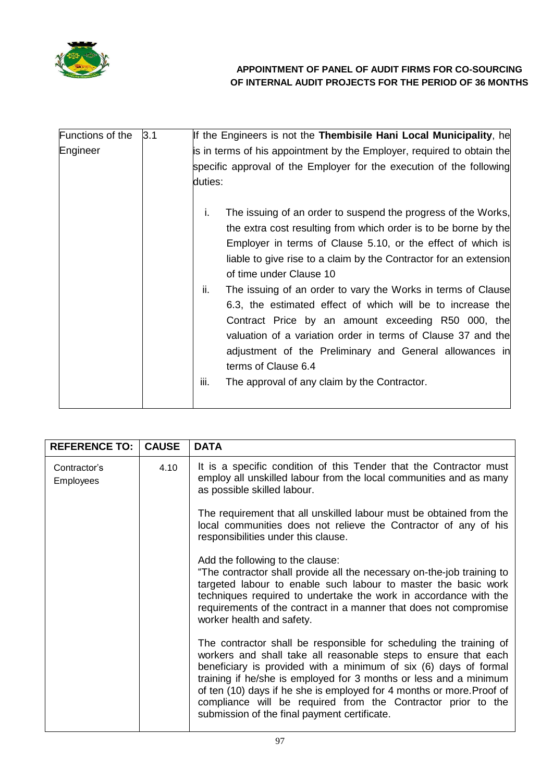

| Functions of the | 3.1 | If the Engineers is not the Thembisile Hani Local Municipality, he     |
|------------------|-----|------------------------------------------------------------------------|
| Engineer         |     | is in terms of his appointment by the Employer, required to obtain the |
|                  |     | specific approval of the Employer for the execution of the following   |
|                  |     | duties:                                                                |
|                  |     | i.<br>The issuing of an order to suspend the progress of the Works,    |
|                  |     | the extra cost resulting from which order is to be borne by the        |
|                  |     | Employer in terms of Clause 5.10, or the effect of which is            |
|                  |     | liable to give rise to a claim by the Contractor for an extension      |
|                  |     | of time under Clause 10                                                |
|                  |     | ii.<br>The issuing of an order to vary the Works in terms of Clause    |
|                  |     | 6.3, the estimated effect of which will be to increase the             |
|                  |     | Contract Price by an amount exceeding R50 000, the                     |
|                  |     | valuation of a variation order in terms of Clause 37 and the           |
|                  |     | adjustment of the Preliminary and General allowances in                |
|                  |     | terms of Clause 6.4                                                    |
|                  |     | iii.<br>The approval of any claim by the Contractor.                   |
|                  |     |                                                                        |

| <b>REFERENCE TO:</b>      | <b>CAUSE</b> | <b>DATA</b>                                                                                                                                                                                                                                                                                                                                                                                                                                                             |
|---------------------------|--------------|-------------------------------------------------------------------------------------------------------------------------------------------------------------------------------------------------------------------------------------------------------------------------------------------------------------------------------------------------------------------------------------------------------------------------------------------------------------------------|
| Contractor's<br>Employees | 4.10         | It is a specific condition of this Tender that the Contractor must<br>employ all unskilled labour from the local communities and as many<br>as possible skilled labour.                                                                                                                                                                                                                                                                                                 |
|                           |              | The requirement that all unskilled labour must be obtained from the<br>local communities does not relieve the Contractor of any of his<br>responsibilities under this clause.                                                                                                                                                                                                                                                                                           |
|                           |              | Add the following to the clause:<br>"The contractor shall provide all the necessary on-the-job training to<br>targeted labour to enable such labour to master the basic work<br>techniques required to undertake the work in accordance with the<br>requirements of the contract in a manner that does not compromise<br>worker health and safety.                                                                                                                      |
|                           |              | The contractor shall be responsible for scheduling the training of<br>workers and shall take all reasonable steps to ensure that each<br>beneficiary is provided with a minimum of six (6) days of formal<br>training if he/she is employed for 3 months or less and a minimum<br>of ten (10) days if he she is employed for 4 months or more. Proof of<br>compliance will be required from the Contractor prior to the<br>submission of the final payment certificate. |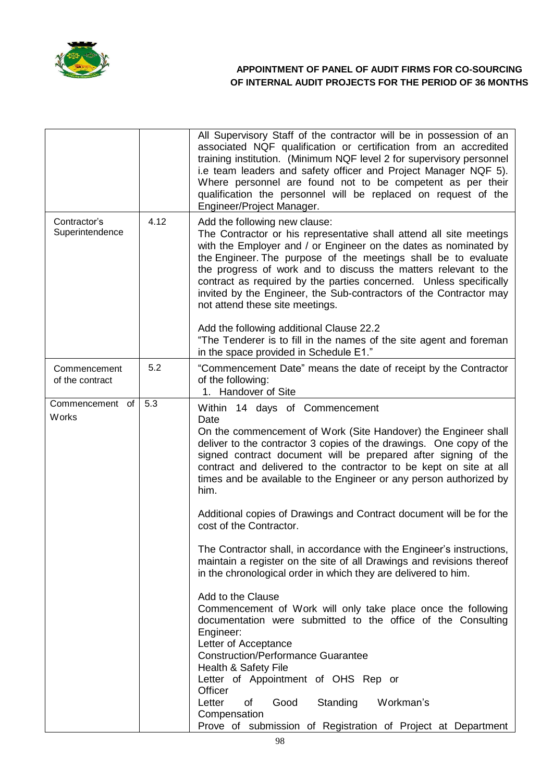

|                                 |      | All Supervisory Staff of the contractor will be in possession of an<br>associated NQF qualification or certification from an accredited<br>training institution. (Minimum NQF level 2 for supervisory personnel<br>i.e team leaders and safety officer and Project Manager NQF 5).<br>Where personnel are found not to be competent as per their<br>qualification the personnel will be replaced on request of the<br>Engineer/Project Manager.                                              |
|---------------------------------|------|----------------------------------------------------------------------------------------------------------------------------------------------------------------------------------------------------------------------------------------------------------------------------------------------------------------------------------------------------------------------------------------------------------------------------------------------------------------------------------------------|
| Contractor's<br>Superintendence | 4.12 | Add the following new clause:<br>The Contractor or his representative shall attend all site meetings<br>with the Employer and / or Engineer on the dates as nominated by<br>the Engineer. The purpose of the meetings shall be to evaluate<br>the progress of work and to discuss the matters relevant to the<br>contract as required by the parties concerned. Unless specifically<br>invited by the Engineer, the Sub-contractors of the Contractor may<br>not attend these site meetings. |
|                                 |      | Add the following additional Clause 22.2<br>"The Tenderer is to fill in the names of the site agent and foreman<br>in the space provided in Schedule E1."                                                                                                                                                                                                                                                                                                                                    |
| Commencement<br>of the contract | 5.2  | "Commencement Date" means the date of receipt by the Contractor<br>of the following:<br>1. Handover of Site                                                                                                                                                                                                                                                                                                                                                                                  |
| Commencement of<br>Works        | 5.3  | Within 14 days of Commencement<br>Date<br>On the commencement of Work (Site Handover) the Engineer shall<br>deliver to the contractor 3 copies of the drawings. One copy of the<br>signed contract document will be prepared after signing of the<br>contract and delivered to the contractor to be kept on site at all<br>times and be available to the Engineer or any person authorized by<br>him.                                                                                        |
|                                 |      | Additional copies of Drawings and Contract document will be for the<br>cost of the Contractor.                                                                                                                                                                                                                                                                                                                                                                                               |
|                                 |      | The Contractor shall, in accordance with the Engineer's instructions,<br>maintain a register on the site of all Drawings and revisions thereof<br>in the chronological order in which they are delivered to him.                                                                                                                                                                                                                                                                             |
|                                 |      | Add to the Clause<br>Commencement of Work will only take place once the following<br>documentation were submitted to the office of the Consulting<br>Engineer:<br>Letter of Acceptance<br><b>Construction/Performance Guarantee</b><br>Health & Safety File                                                                                                                                                                                                                                  |
|                                 |      | Letter of Appointment of OHS Rep or<br>Officer<br>Good<br>Standing<br>Letter<br>of<br>Workman's<br>Compensation<br>Prove of submission of Registration of Project at Department                                                                                                                                                                                                                                                                                                              |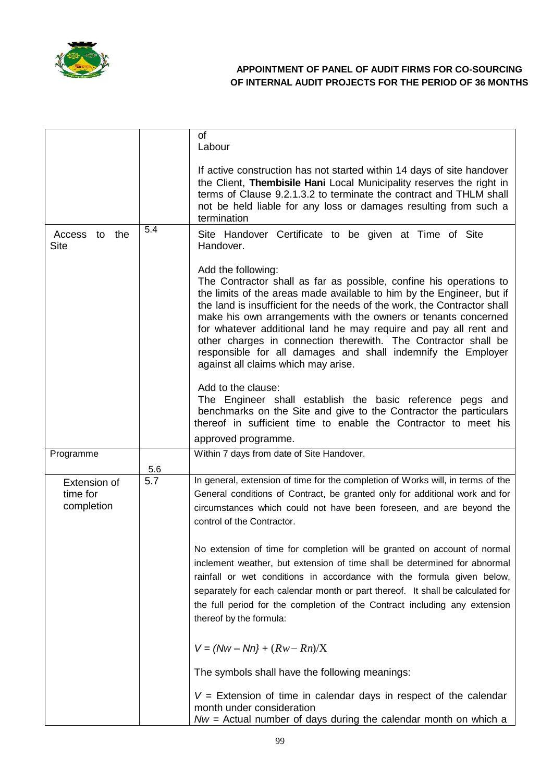

|                                        |     | <b>of</b><br>Labour                                                                                                                                                                                                                                                                                                                                                                                                                                                                                                                                          |
|----------------------------------------|-----|--------------------------------------------------------------------------------------------------------------------------------------------------------------------------------------------------------------------------------------------------------------------------------------------------------------------------------------------------------------------------------------------------------------------------------------------------------------------------------------------------------------------------------------------------------------|
|                                        |     | If active construction has not started within 14 days of site handover<br>the Client, Thembisile Hani Local Municipality reserves the right in<br>terms of Clause 9.2.1.3.2 to terminate the contract and THLM shall<br>not be held liable for any loss or damages resulting from such a<br>termination                                                                                                                                                                                                                                                      |
| Access to the<br><b>Site</b>           | 5.4 | Site Handover Certificate to be given at Time of Site<br>Handover.                                                                                                                                                                                                                                                                                                                                                                                                                                                                                           |
|                                        |     | Add the following:<br>The Contractor shall as far as possible, confine his operations to<br>the limits of the areas made available to him by the Engineer, but if<br>the land is insufficient for the needs of the work, the Contractor shall<br>make his own arrangements with the owners or tenants concerned<br>for whatever additional land he may require and pay all rent and<br>other charges in connection therewith. The Contractor shall be<br>responsible for all damages and shall indemnify the Employer<br>against all claims which may arise. |
|                                        |     | Add to the clause:<br>The Engineer shall establish the basic reference pegs and<br>benchmarks on the Site and give to the Contractor the particulars<br>thereof in sufficient time to enable the Contractor to meet his                                                                                                                                                                                                                                                                                                                                      |
|                                        |     | approved programme.                                                                                                                                                                                                                                                                                                                                                                                                                                                                                                                                          |
| Programme                              | 5.6 | Within 7 days from date of Site Handover.                                                                                                                                                                                                                                                                                                                                                                                                                                                                                                                    |
| Extension of<br>time for<br>completion | 5.7 | In general, extension of time for the completion of Works will, in terms of the<br>General conditions of Contract, be granted only for additional work and for<br>circumstances which could not have been foreseen, and are beyond the<br>control of the Contractor.                                                                                                                                                                                                                                                                                         |
|                                        |     | No extension of time for completion will be granted on account of normal<br>inclement weather, but extension of time shall be determined for abnormal<br>rainfall or wet conditions in accordance with the formula given below,<br>separately for each calendar month or part thereof. It shall be calculated for<br>the full period for the completion of the Contract including any extension<br>thereof by the formula:                                                                                                                                   |
|                                        |     | $V = (Nw - Nn) + (Rw - Rn)/X$                                                                                                                                                                                                                                                                                                                                                                                                                                                                                                                                |
|                                        |     | The symbols shall have the following meanings:                                                                                                                                                                                                                                                                                                                                                                                                                                                                                                               |
|                                        |     | $V =$ Extension of time in calendar days in respect of the calendar<br>month under consideration<br>$Nw =$ Actual number of days during the calendar month on which a                                                                                                                                                                                                                                                                                                                                                                                        |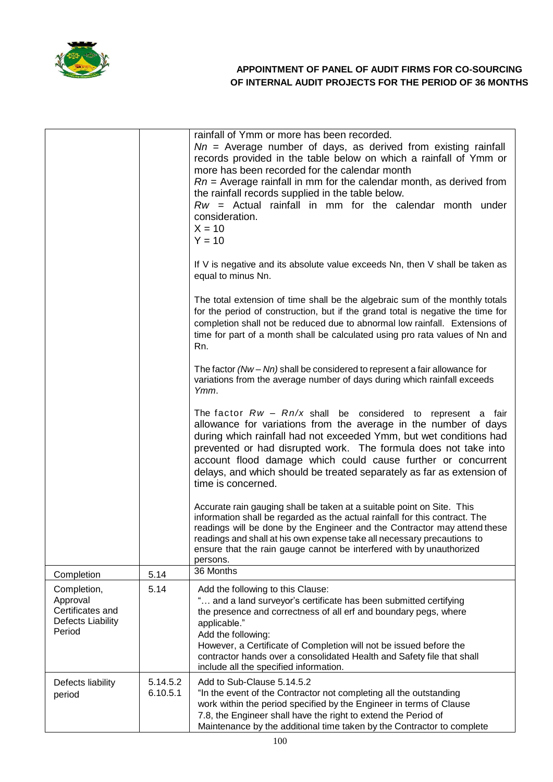

|                                                                            |                      | rainfall of Ymm or more has been recorded.<br>$Nn$ = Average number of days, as derived from existing rainfall<br>records provided in the table below on which a rainfall of Ymm or<br>more has been recorded for the calendar month<br>$Rn$ = Average rainfall in mm for the calendar month, as derived from<br>the rainfall records supplied in the table below.<br>$Rw =$ Actual rainfall in mm for the calendar month under<br>consideration.<br>$X = 10$<br>$Y = 10$ |
|----------------------------------------------------------------------------|----------------------|---------------------------------------------------------------------------------------------------------------------------------------------------------------------------------------------------------------------------------------------------------------------------------------------------------------------------------------------------------------------------------------------------------------------------------------------------------------------------|
|                                                                            |                      | If V is negative and its absolute value exceeds Nn, then V shall be taken as<br>equal to minus Nn.                                                                                                                                                                                                                                                                                                                                                                        |
|                                                                            |                      | The total extension of time shall be the algebraic sum of the monthly totals<br>for the period of construction, but if the grand total is negative the time for<br>completion shall not be reduced due to abnormal low rainfall. Extensions of<br>time for part of a month shall be calculated using pro rata values of Nn and<br>Rn.                                                                                                                                     |
|                                                                            |                      | The factor $(Nw - Nn)$ shall be considered to represent a fair allowance for<br>variations from the average number of days during which rainfall exceeds<br>Ymm.                                                                                                                                                                                                                                                                                                          |
|                                                                            |                      | The factor $Rw - Rn/x$ shall be considered to represent a fair<br>allowance for variations from the average in the number of days<br>during which rainfall had not exceeded Ymm, but wet conditions had<br>prevented or had disrupted work. The formula does not take into<br>account flood damage which could cause further or concurrent<br>delays, and which should be treated separately as far as extension of<br>time is concerned.                                 |
|                                                                            |                      | Accurate rain gauging shall be taken at a suitable point on Site. This<br>information shall be regarded as the actual rainfall for this contract. The<br>readings will be done by the Engineer and the Contractor may attend these<br>readings and shall at his own expense take all necessary precautions to<br>ensure that the rain gauge cannot be interfered with by unauthorized<br>persons.                                                                         |
| Completion                                                                 | 5.14                 | 36 Months                                                                                                                                                                                                                                                                                                                                                                                                                                                                 |
| Completion,<br>Approval<br>Certificates and<br>Defects Liability<br>Period | 5.14                 | Add the following to this Clause:<br>" and a land surveyor's certificate has been submitted certifying<br>the presence and correctness of all erf and boundary pegs, where<br>applicable."<br>Add the following:<br>However, a Certificate of Completion will not be issued before the<br>contractor hands over a consolidated Health and Safety file that shall<br>include all the specified information.                                                                |
| Defects liability<br>period                                                | 5.14.5.2<br>6.10.5.1 | Add to Sub-Clause 5.14.5.2<br>"In the event of the Contractor not completing all the outstanding<br>work within the period specified by the Engineer in terms of Clause<br>7.8, the Engineer shall have the right to extend the Period of<br>Maintenance by the additional time taken by the Contractor to complete                                                                                                                                                       |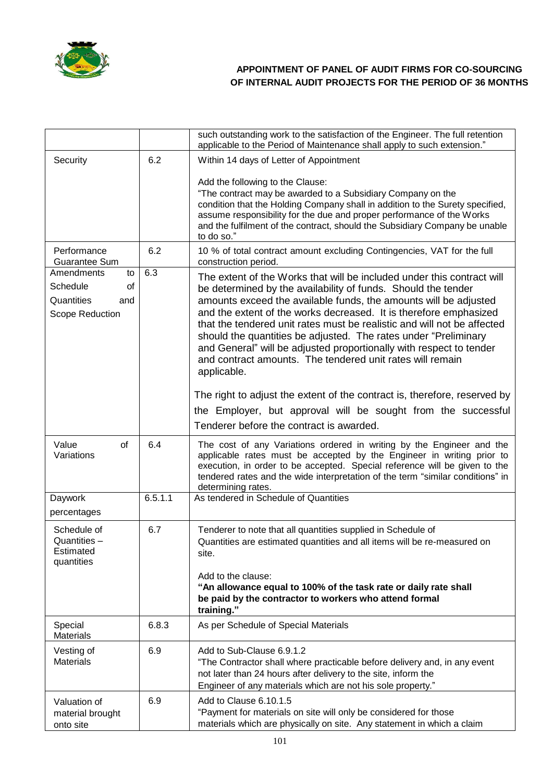

|                                                                            |         | such outstanding work to the satisfaction of the Engineer. The full retention<br>applicable to the Period of Maintenance shall apply to such extension."                                                                                                                                                                                                                                                                                                                                                                                                                          |
|----------------------------------------------------------------------------|---------|-----------------------------------------------------------------------------------------------------------------------------------------------------------------------------------------------------------------------------------------------------------------------------------------------------------------------------------------------------------------------------------------------------------------------------------------------------------------------------------------------------------------------------------------------------------------------------------|
| Security                                                                   | 6.2     | Within 14 days of Letter of Appointment                                                                                                                                                                                                                                                                                                                                                                                                                                                                                                                                           |
|                                                                            |         | Add the following to the Clause:<br>"The contract may be awarded to a Subsidiary Company on the<br>condition that the Holding Company shall in addition to the Surety specified,<br>assume responsibility for the due and proper performance of the Works<br>and the fulfilment of the contract, should the Subsidiary Company be unable<br>to do so."                                                                                                                                                                                                                            |
| Performance<br>Guarantee Sum                                               | 6.2     | 10 % of total contract amount excluding Contingencies, VAT for the full<br>construction period.                                                                                                                                                                                                                                                                                                                                                                                                                                                                                   |
| Amendments<br>to<br>Schedule<br>of<br>Quantities<br>and<br>Scope Reduction | 6.3     | The extent of the Works that will be included under this contract will<br>be determined by the availability of funds. Should the tender<br>amounts exceed the available funds, the amounts will be adjusted<br>and the extent of the works decreased. It is therefore emphasized<br>that the tendered unit rates must be realistic and will not be affected<br>should the quantities be adjusted. The rates under "Preliminary<br>and General" will be adjusted proportionally with respect to tender<br>and contract amounts. The tendered unit rates will remain<br>applicable. |
|                                                                            |         | The right to adjust the extent of the contract is, therefore, reserved by<br>the Employer, but approval will be sought from the successful<br>Tenderer before the contract is awarded.                                                                                                                                                                                                                                                                                                                                                                                            |
| Value<br>of<br>Variations                                                  | 6.4     | The cost of any Variations ordered in writing by the Engineer and the<br>applicable rates must be accepted by the Engineer in writing prior to<br>execution, in order to be accepted. Special reference will be given to the<br>tendered rates and the wide interpretation of the term "similar conditions" in<br>determining rates.                                                                                                                                                                                                                                              |
| Daywork<br>percentages                                                     | 6.5.1.1 | As tendered in Schedule of Quantities                                                                                                                                                                                                                                                                                                                                                                                                                                                                                                                                             |
| Schedule of<br>Quantities –<br>Estimated<br>quantities                     | 6.7     | Tenderer to note that all quantities supplied in Schedule of<br>Quantities are estimated quantities and all items will be re-measured on<br>site.<br>Add to the clause:<br>"An allowance equal to 100% of the task rate or daily rate shall<br>be paid by the contractor to workers who attend formal<br>training."                                                                                                                                                                                                                                                               |
| Special<br><b>Materials</b>                                                | 6.8.3   | As per Schedule of Special Materials                                                                                                                                                                                                                                                                                                                                                                                                                                                                                                                                              |
| Vesting of<br><b>Materials</b>                                             | 6.9     | Add to Sub-Clause 6.9.1.2<br>"The Contractor shall where practicable before delivery and, in any event<br>not later than 24 hours after delivery to the site, inform the<br>Engineer of any materials which are not his sole property."                                                                                                                                                                                                                                                                                                                                           |
| Valuation of<br>material brought<br>onto site                              | 6.9     | Add to Clause 6.10.1.5<br>"Payment for materials on site will only be considered for those<br>materials which are physically on site. Any statement in which a claim                                                                                                                                                                                                                                                                                                                                                                                                              |